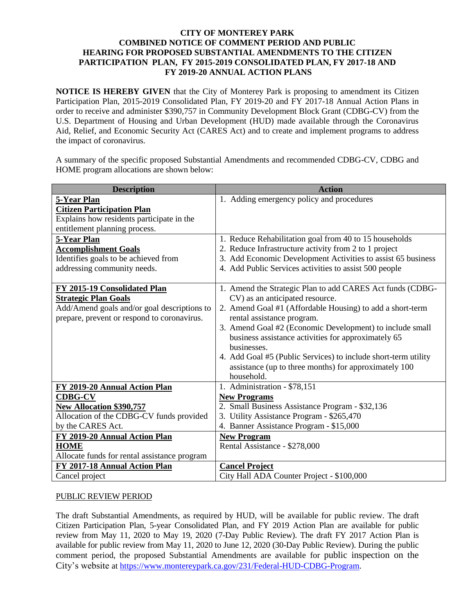## **CITY OF MONTEREY PARK COMBINED NOTICE OF COMMENT PERIOD AND PUBLIC HEARING FOR PROPOSED SUBSTANTIAL AMENDMENTS TO THE CITIZEN PARTICIPATION PLAN, FY 2015-2019 CONSOLIDATED PLAN, FY 2017-18 AND FY 2019-20 ANNUAL ACTION PLANS**

**NOTICE IS HEREBY GIVEN** that the City of Monterey Park is proposing to amendment its Citizen Participation Plan, 2015-2019 Consolidated Plan, FY 2019-20 and FY 2017-18 Annual Action Plans in order to receive and administer \$390,757 in Community Development Block Grant (CDBG-CV) from the U.S. Department of Housing and Urban Development (HUD) made available through the Coronavirus Aid, Relief, and Economic Security Act (CARES Act) and to create and implement programs to address the impact of coronavirus.

A summary of the specific proposed Substantial Amendments and recommended CDBG-CV, CDBG and HOME program allocations are shown below:

| <b>Description</b>                           | <b>Action</b>                                                  |
|----------------------------------------------|----------------------------------------------------------------|
| 5-Year Plan                                  | 1. Adding emergency policy and procedures                      |
| <b>Citizen Participation Plan</b>            |                                                                |
| Explains how residents participate in the    |                                                                |
| entitlement planning process.                |                                                                |
| 5-Year Plan                                  | 1. Reduce Rehabilitation goal from 40 to 15 households         |
| <b>Accomplishment Goals</b>                  | 2. Reduce Infrastructure activity from 2 to 1 project          |
| Identifies goals to be achieved from         | 3. Add Economic Development Activities to assist 65 business   |
| addressing community needs.                  | 4. Add Public Services activities to assist 500 people         |
|                                              |                                                                |
| FY 2015-19 Consolidated Plan                 | 1. Amend the Strategic Plan to add CARES Act funds (CDBG-      |
| <b>Strategic Plan Goals</b>                  | CV) as an anticipated resource.                                |
| Add/Amend goals and/or goal descriptions to  | 2. Amend Goal #1 (Affordable Housing) to add a short-term      |
| prepare, prevent or respond to coronavirus.  | rental assistance program.                                     |
|                                              | 3. Amend Goal #2 (Economic Development) to include small       |
|                                              | business assistance activities for approximately 65            |
|                                              | businesses.                                                    |
|                                              | 4. Add Goal #5 (Public Services) to include short-term utility |
|                                              | assistance (up to three months) for approximately 100          |
|                                              | household.                                                     |
| FY 2019-20 Annual Action Plan                | 1. Administration - \$78,151                                   |
| <b>CDBG-CV</b>                               | <b>New Programs</b>                                            |
| <b>New Allocation \$390,757</b>              | 2. Small Business Assistance Program - \$32,136                |
| Allocation of the CDBG-CV funds provided     | 3. Utility Assistance Program - \$265,470                      |
| by the CARES Act.                            | 4. Banner Assistance Program - \$15,000                        |
| FY 2019-20 Annual Action Plan                | <b>New Program</b>                                             |
| <b>HOME</b>                                  | Rental Assistance - \$278,000                                  |
| Allocate funds for rental assistance program |                                                                |
| FY 2017-18 Annual Action Plan                | <b>Cancel Project</b>                                          |
| Cancel project                               | City Hall ADA Counter Project - \$100,000                      |

## PUBLIC REVIEW PERIOD

The draft Substantial Amendments, as required by HUD, will be available for public review. The draft Citizen Participation Plan, 5-year Consolidated Plan, and FY 2019 Action Plan are available for public review from May 11, 2020 to May 19, 2020 (7-Day Public Review). The draft FY 2017 Action Plan is available for public review from May 11, 2020 to June 12, 2020 (30-Day Public Review). During the public comment period, the proposed Substantial Amendments are available for public inspection on the City's website at [https://www.montereypark.ca.gov/231/Federal-HUD-CDBG-Program.](https://www.montereypark.ca.gov/231/Federal-HUD-CDBG-Program)